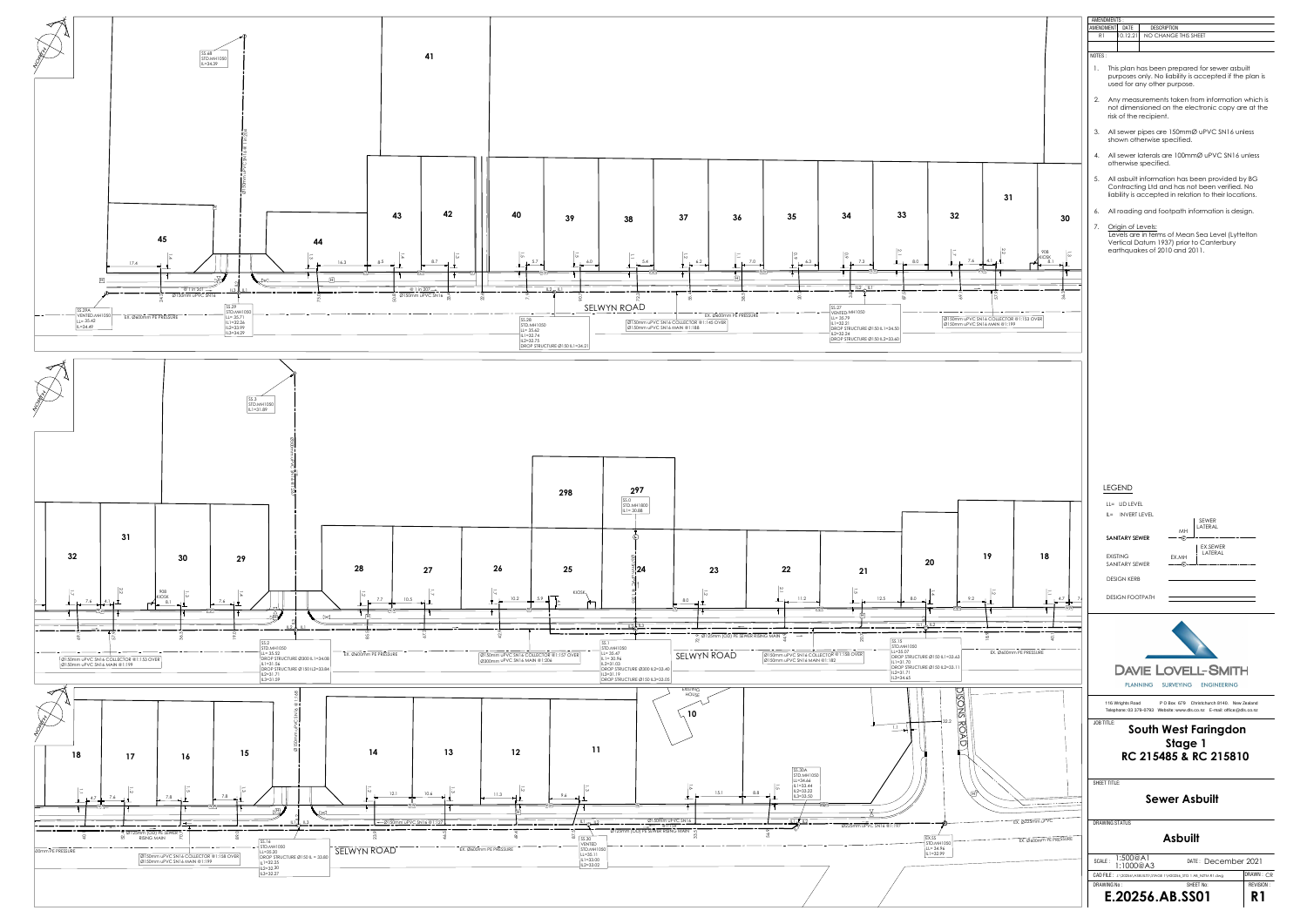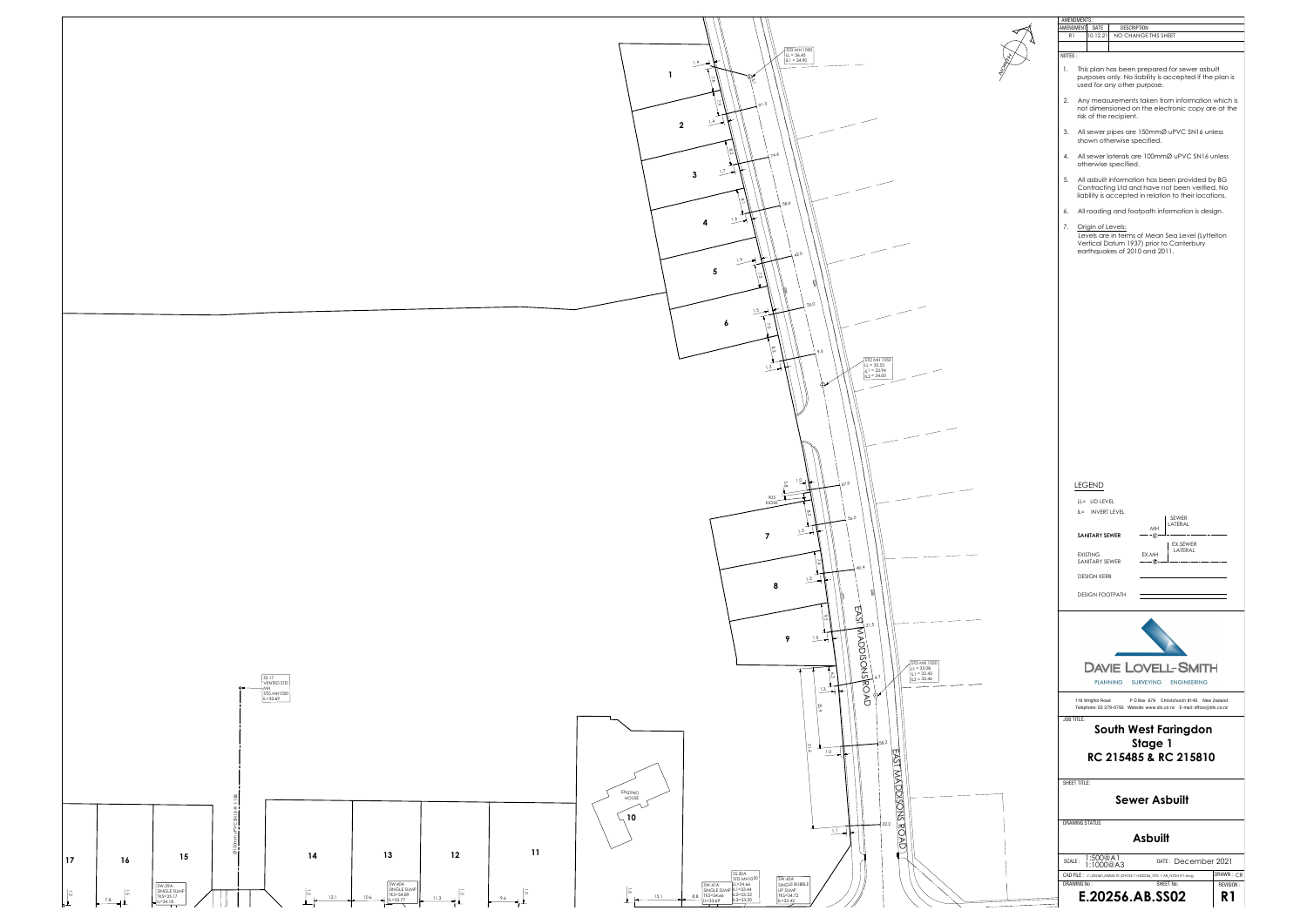



| AMENDMENTS:  |                                                                                                                                                           |                                                                                                                                                                                                        |                                                                  |                             |
|--------------|-----------------------------------------------------------------------------------------------------------------------------------------------------------|--------------------------------------------------------------------------------------------------------------------------------------------------------------------------------------------------------|------------------------------------------------------------------|-----------------------------|
|              | AMENDMENT DATE                                                                                                                                            | <b>DESCRIPTION</b>                                                                                                                                                                                     |                                                                  |                             |
| R1           | 10.12.21                                                                                                                                                  | NO CHANGE THIS SHEET                                                                                                                                                                                   |                                                                  |                             |
| NOTES:       |                                                                                                                                                           |                                                                                                                                                                                                        |                                                                  |                             |
| 1.           |                                                                                                                                                           | This plan has been prepared for sewer asbuilt<br>purposes only. No liability is accepted if the plan is<br>used for any other purpose.                                                                 |                                                                  |                             |
|              |                                                                                                                                                           | 2. Any measurements taken from information which is<br>not dimensioned on the electronic copy are at the<br>risk of the recipient.                                                                     |                                                                  |                             |
|              |                                                                                                                                                           | 3. All sewer pipes are 150mmØ uPVC SN16 unless<br>shown otherwise specified.                                                                                                                           |                                                                  |                             |
|              | 4. All sewer laterals are 100mmØ uPVC SN16 unless<br>otherwise specified.                                                                                 |                                                                                                                                                                                                        |                                                                  |                             |
|              |                                                                                                                                                           | 5. All asbuilt information has been provided by BG<br>Contracting Ltd and have not been verified. No<br>liability is accepted in relation to their locations.                                          |                                                                  |                             |
|              |                                                                                                                                                           | 6. All roading and footpath information is design.                                                                                                                                                     |                                                                  |                             |
|              | 7. Origin of Levels:                                                                                                                                      | Levels are in terms of Mean Sea Level (Lyttelton<br>Vertical Datum 1937) prior to Canterbury<br>earthquakes of 2010 and 2011.                                                                          |                                                                  |                             |
|              | <b>LEGEND</b><br>LL= LID LEVEL<br>IL= INVERT LEVEL<br>SANITARY SEWER<br><b>EXISTING</b><br>SANITARY SEWER<br><b>DESIGN KERB</b><br><b>DESIGN FOOTPATH</b> | MH<br>- F.<br>EX.MH<br>$---①$                                                                                                                                                                          | SEWER<br>LATERAL<br>EX.SEWER<br>LATERAL                          |                             |
| JOB TITLE:   | 116 Wrights Road                                                                                                                                          | <b>DAVIE LOVELL-SMITH</b><br><b>PLANNING</b><br><b>SURVEYING</b><br>Telephone: 03 379-0793 Website: www.dls.co.nz E-mail: office@dls.co.nz<br>South West Faringdon<br>Stage 1<br>RC 215485 & RC 215810 | <b>ENGINEERING</b><br>P O Box 679 Christchurch 8140. New Zealand |                             |
| SHEET TITLE: |                                                                                                                                                           | <b>Sewer Asbuilt</b>                                                                                                                                                                                   |                                                                  |                             |
|              | <b>DRAWING STATUS</b>                                                                                                                                     | Asbuilt                                                                                                                                                                                                |                                                                  |                             |
| SCALE:       | 1:500@A1<br>1:1000@A3                                                                                                                                     |                                                                                                                                                                                                        | DATE: December 2021                                              |                             |
|              |                                                                                                                                                           | CAD FILE: J:\20256\ASBUILTS\STAGE 1\H20256_STG 1 AB_NZTM R1.dwg                                                                                                                                        |                                                                  | DRAWN: CR                   |
| DRAWING No:  |                                                                                                                                                           | E.20256.AB.SS02                                                                                                                                                                                        | SHEET No:                                                        | REVISION:<br>R <sub>1</sub> |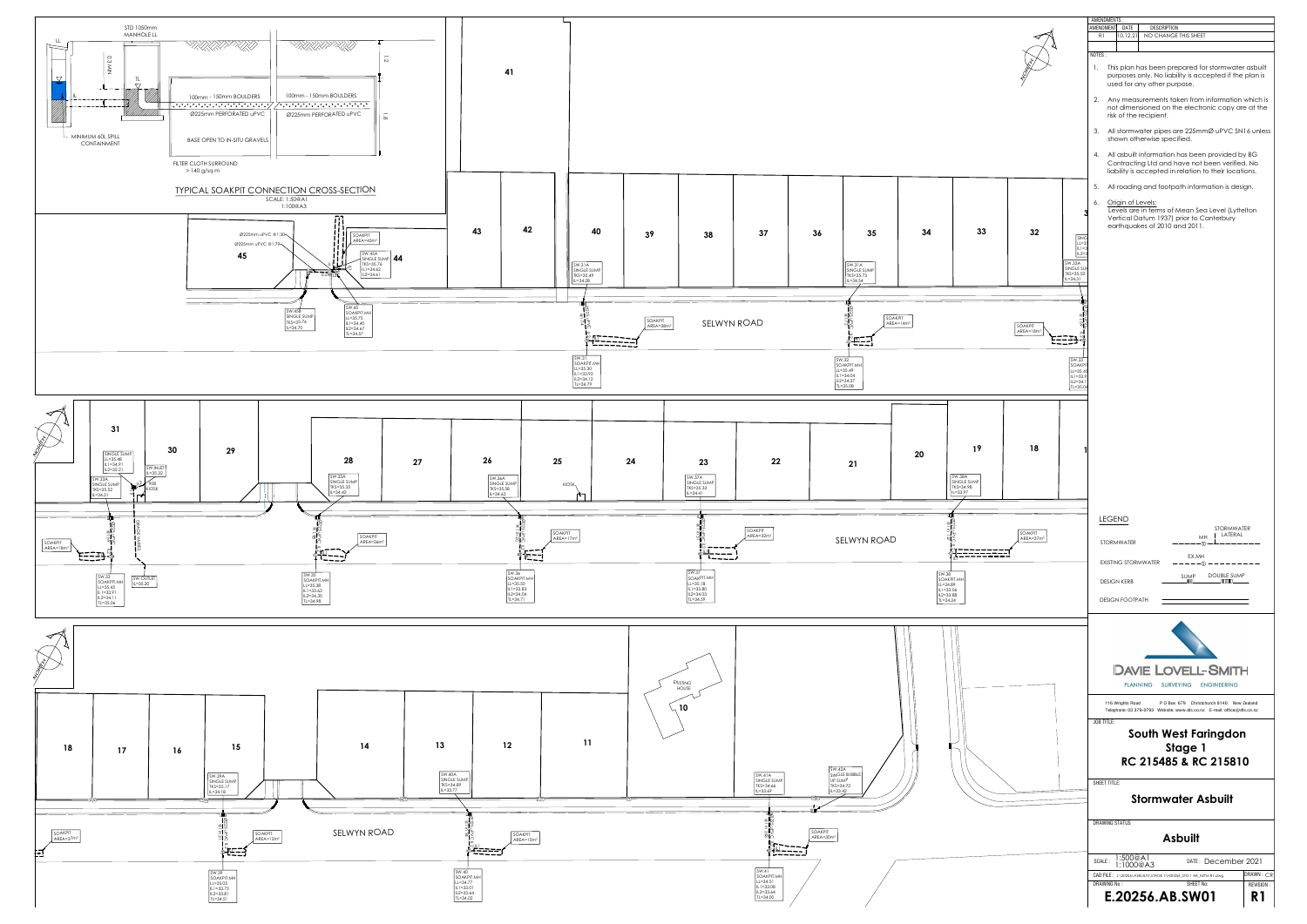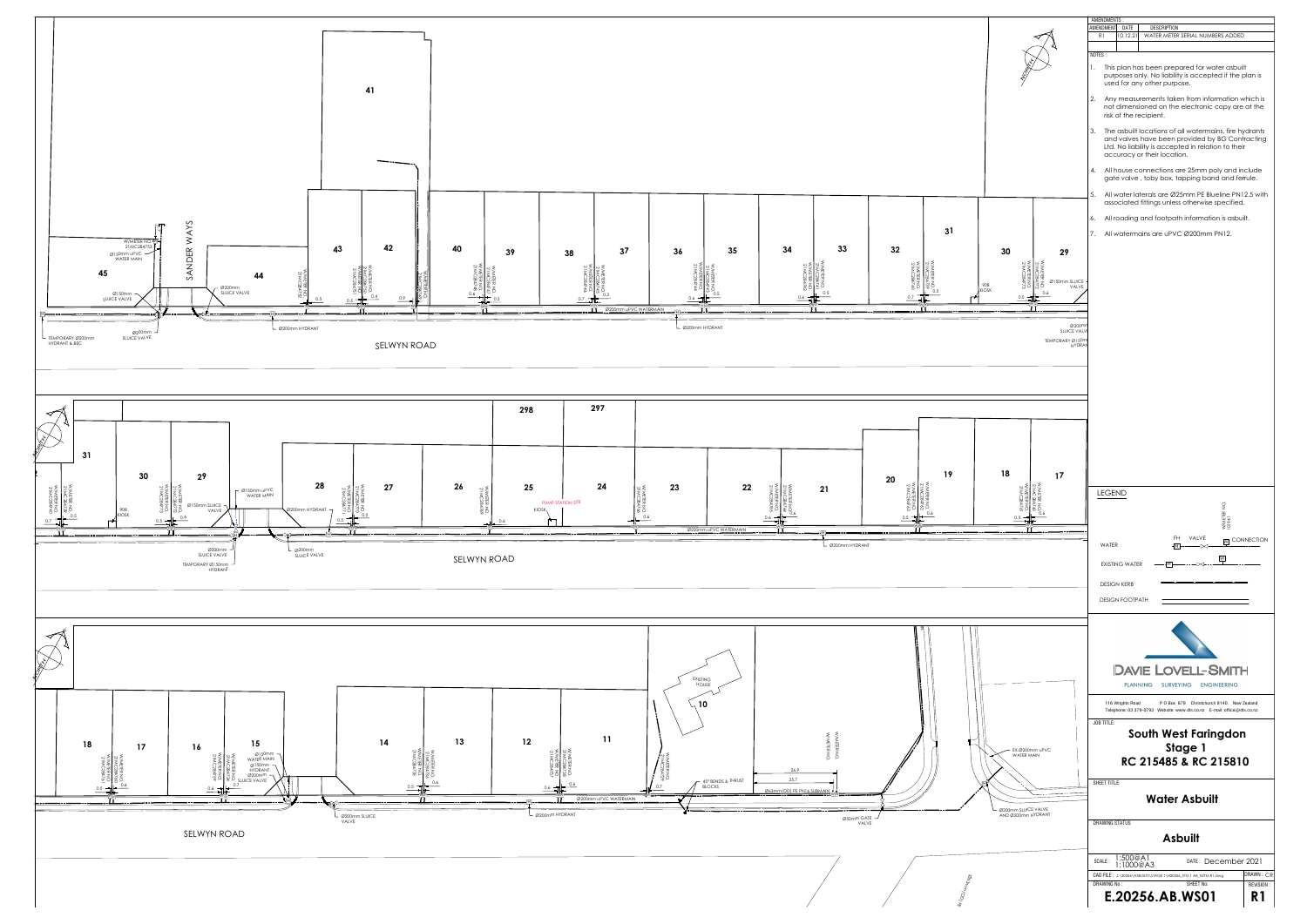